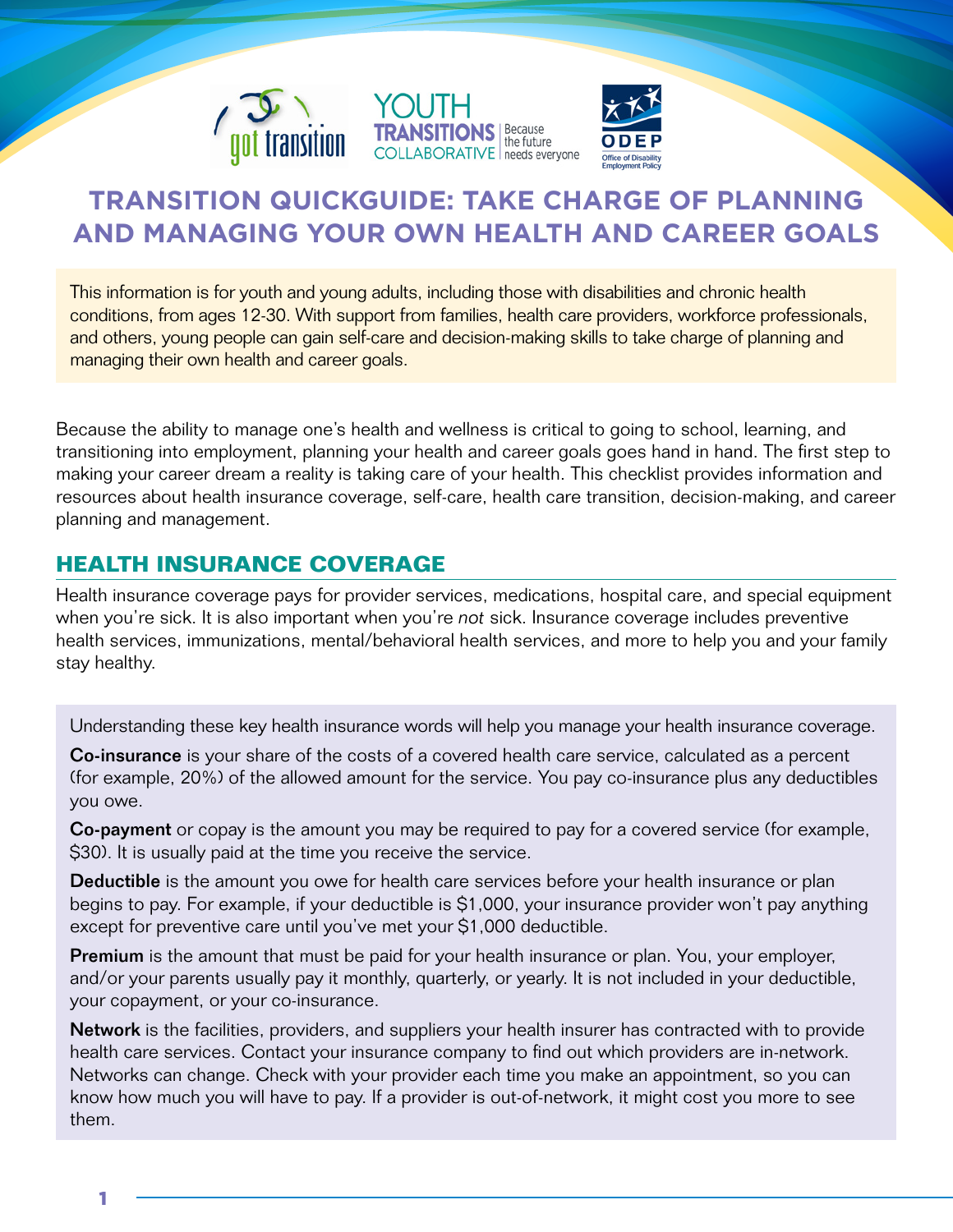





This information is for youth and young adults, including those with disabilities and chronic health conditions, from ages 12-30. With support from families, health care providers, workforce professionals, and others, young people can gain self-care and decision-making skills to take charge of planning and managing their own health and career goals.

Because the ability to manage one's health and wellness is critical to going to school, learning, and transitioning into employment, planning your health and career goals goes hand in hand. The first step to making your career dream a reality is taking care of your health. This checklist provides information and resources about health insurance coverage, self-care, health care transition, decision-making, and career planning and management.

## **HEALTH INSURANCE COVERAGE**

Health insurance coverage pays for provider services, medications, hospital care, and special equipment when you're sick. It is also important when you're *not* sick. Insurance coverage includes preventive health services, immunizations, mental/behavioral health services, and more to help you and your family stay healthy.

Understanding these key health insurance words will help you manage your health insurance coverage.

Co-insurance is your share of the costs of a covered health care service, calculated as a percent (for example, 20%) of the allowed amount for the service. You pay co-insurance plus any deductibles you owe.

Co-payment or copay is the amount you may be required to pay for a covered service (for example, \$30). It is usually paid at the time you receive the service.

Deductible is the amount you owe for health care services before your health insurance or plan begins to pay. For example, if your deductible is \$1,000, your insurance provider won't pay anything except for preventive care until you've met your \$1,000 deductible.

**Premium** is the amount that must be paid for your health insurance or plan. You, your employer, and/or your parents usually pay it monthly, quarterly, or yearly. It is not included in your deductible, your copayment, or your co-insurance.

Network is the facilities, providers, and suppliers your health insurer has contracted with to provide health care services. Contact your insurance company to find out which providers are in-network. Networks can change. Check with your provider each time you make an appointment, so you can know how much you will have to pay. If a provider is out-of-network, it might cost you more to see them.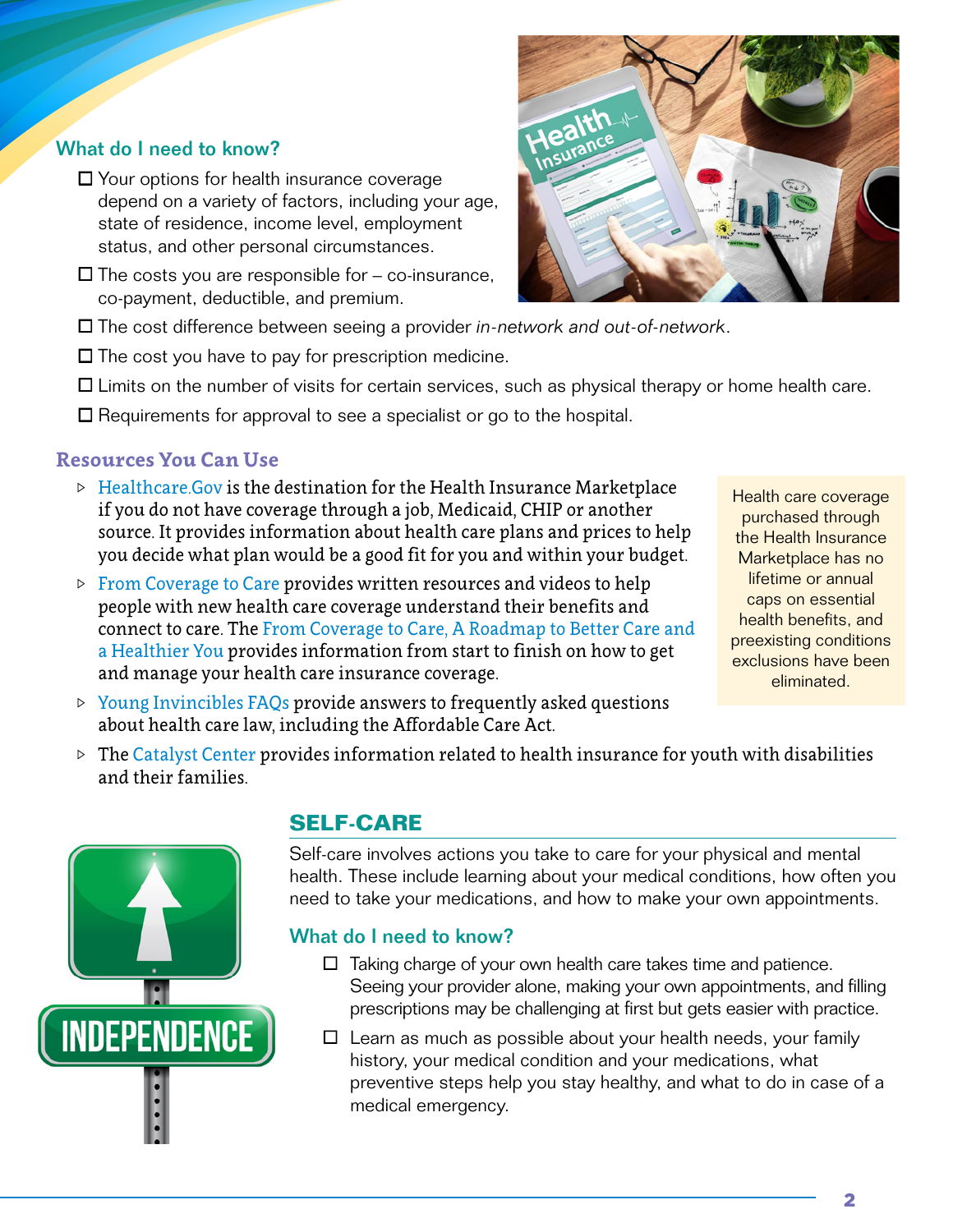## What do I need to know?

- □ Your options for health insurance coverage depend on a variety of factors, including your age, state of residence, income level, employment status, and other personal circumstances.
- $\Box$  The costs you are responsible for co-insurance, co-payment, deductible, and premium.
- The cost difference between seeing a provider *in-network and out-of-network*.
- $\square$  The cost you have to pay for prescription medicine.
- Limits on the number of visits for certain services, such as physical therapy or home health care.
- $\square$  Requirements for approval to see a specialist or go to the hospital.

## **Resources You Can Use**

- $\triangleright$  Healthcare. Gov is the destination for the Health Insurance Marketplace if you do not have coverage through a job, Medicaid, CHIP or another source. It provides information about health care plans and prices to help you decide what plan would be a good fit for you and within your budget.
- $\triangleright$  [From Coverage to Care](https://marketplace.cms.gov/technical-assistance-resources/c2c.html) provides written resources and videos to help people with new health care coverage understand their benefits and connect to care. The [From Coverage to Care, A Roadmap to Better Care and](https://marketplace.cms.gov/technical-assistance-resources/c2c-roadmap.pdf)  [a Healthier You](https://marketplace.cms.gov/technical-assistance-resources/c2c-roadmap.pdf) provides information from start to finish on how to get and manage your health care insurance coverage.
- $\triangleright$  [Young Invincibles FAQs](http://younginvincibles.org/faqs/) provide answers to frequently asked questions about health care law, including the Affordable Care Act.
- $\triangleright$  The [Catalyst Center](http://www.hdwg.org/catalyst/) provides information related to health insurance for youth with disabilities and their families.



## **SELF-CARE**

Self-care involves actions you take to care for your physical and mental health. These include learning about your medical conditions, how often you need to take your medications, and how to make your own appointments.

#### What do I need to know?

- $\Box$  Taking charge of your own health care takes time and patience. Seeing your provider alone, making your own appointments, and filling prescriptions may be challenging at first but gets easier with practice.
- $\Box$  Learn as much as possible about your health needs, your family history, your medical condition and your medications, what preventive steps help you stay healthy, and what to do in case of a medical emergency.



Health care coverage purchased through the Health Insurance Marketplace has no lifetime or annual caps on essential health benefits, and preexisting conditions exclusions have been eliminated.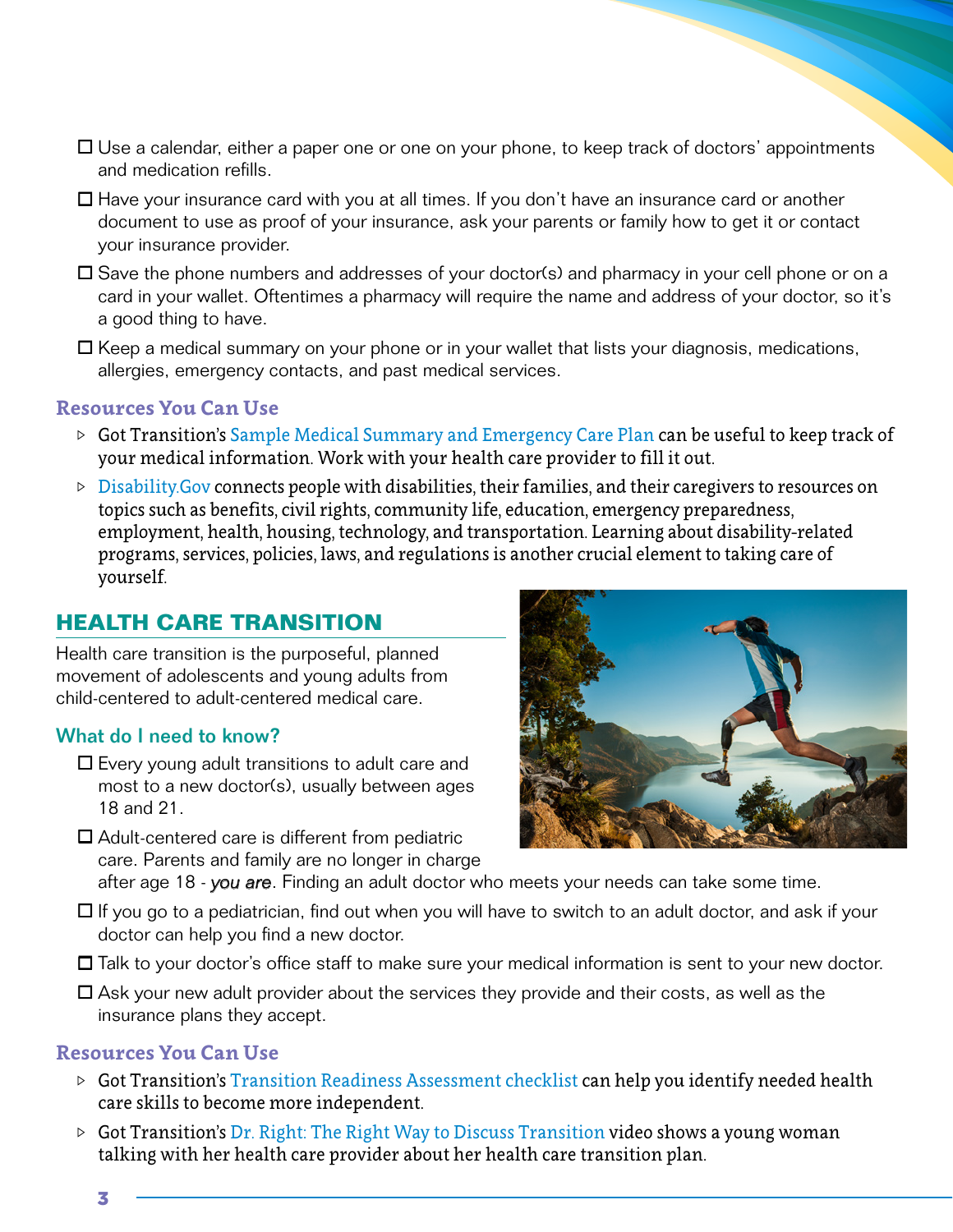- $\Box$  Use a calendar, either a paper one or one on your phone, to keep track of doctors' appointments and medication refills.
- Have your insurance card with you at all times. If you don't have an insurance card or another document to use as proof of your insurance, ask your parents or family how to get it or contact your insurance provider.
- □ Save the phone numbers and addresses of your doctor(s) and pharmacy in your cell phone or on a card in your wallet. Oftentimes a pharmacy will require the name and address of your doctor, so it's a good thing to have.
- $\Box$  Keep a medical summary on your phone or in your wallet that lists your diagnosis, medications, allergies, emergency contacts, and past medical services.

#### **Resources You Can Use**

- $\triangleright$  Got Transition's [Sample Medical Summary and Emergency Care Plan](http://www.gottransition.org/resourceGet.cfm?id=227) can be useful to keep track of your medical information. Work with your health care provider to fill it out.
- $\triangleright$  Disability. Gov connects people with disabilities, their families, and their caregivers to resources on topics such as benefits, civil rights, community life, education, emergency preparedness, employment, health, housing, technology, and transportation. Learning about disability-related programs, services, policies, laws, and regulations is another crucial element to taking care of yourself.

# **HEALTH CARE TRANSITION**

Health care transition is the purposeful, planned movement of adolescents and young adults from child-centered to adult-centered medical care.

#### What do I need to know?

- Every young adult transitions to adult care and most to a new doctor(s), usually between ages 18 and 21.
- 
- □ Adult-centered care is different from pediatric care. Parents and family are no longer in charge after age 18 - *you are* Finding an adult doctor who meets your needs can take some time.
- $\Box$  If you go to a pediatrician, find out when you will have to switch to an adult doctor, and ask if your
- doctor can help you find a new doctor.
- $\Box$  Talk to your doctor's office staff to make sure your medical information is sent to your new doctor.
- $\Box$  Ask your new adult provider about the services they provide and their costs, as well as the insurance plans they accept.

#### **Resources You Can Use**

- $\triangleright$  Got Transition's [Transition Readiness Assessment checklist](http://www.gottransition.org/resourceGet.cfm?id=224) can help you identify needed health care skills to become more independent.
- $\triangleright$  Got Transition's [Dr. Right: The Right Way to Discuss Transition](https://www.youtube.com/watch?v=6EJkOYmkxmE) video shows a young woman talking with her health care provider about her health care transition plan.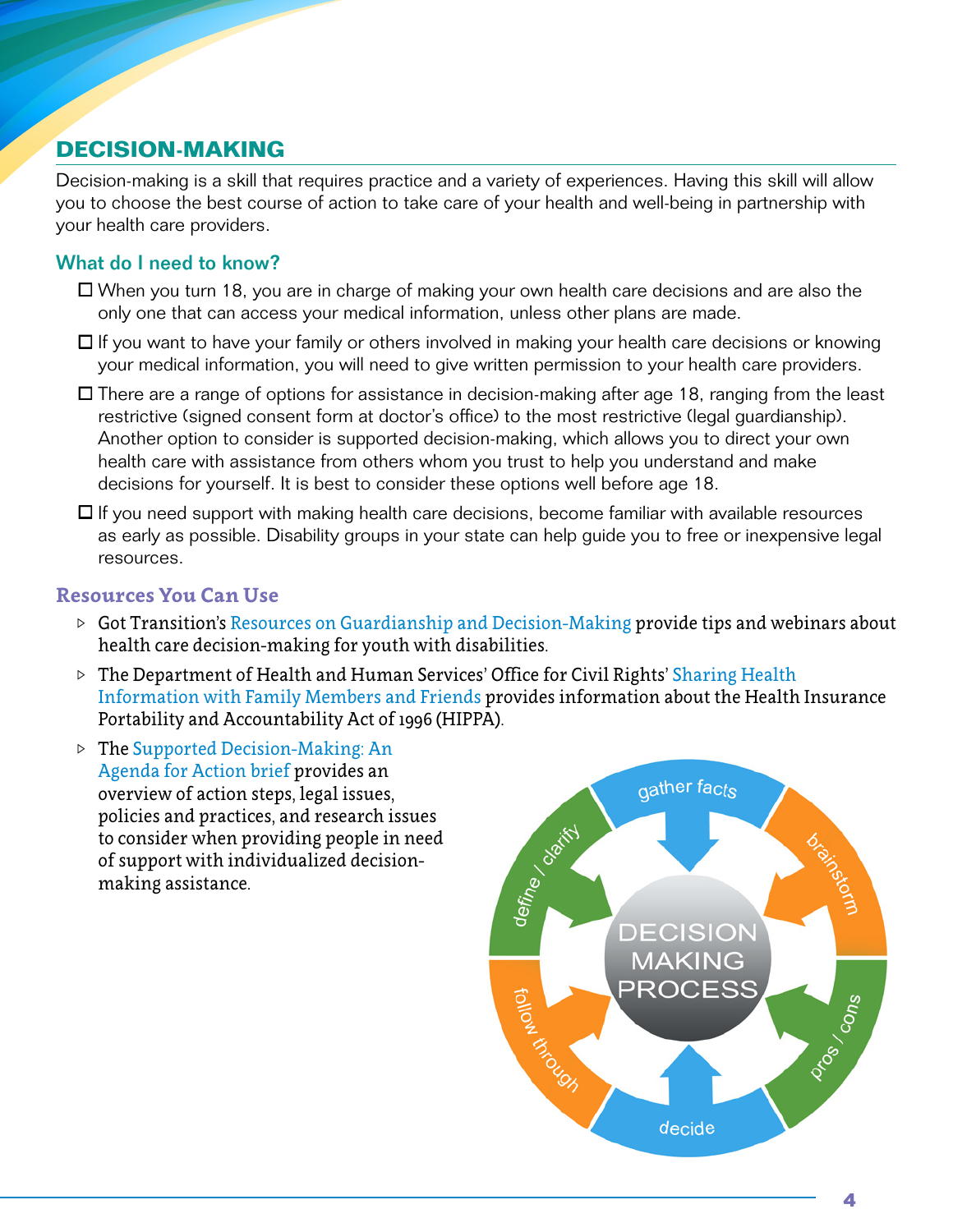# **DECISION-MAKING**

Decision-making is a skill that requires practice and a variety of experiences. Having this skill will allow you to choose the best course of action to take care of your health and well-being in partnership with your health care providers.

## What do I need to know?

- $\Box$  When you turn 18, you are in charge of making your own health care decisions and are also the only one that can access your medical information, unless other plans are made.
- $\Box$  If you want to have your family or others involved in making your health care decisions or knowing your medical information, you will need to give written permission to your health care providers.
- $\Box$  There are a range of options for assistance in decision-making after age 18, ranging from the least restrictive (signed consent form at doctor's office) to the most restrictive (legal guardianship). Another option to consider is supported decision-making, which allows you to direct your own health care with assistance from others whom you trust to help you understand and make decisions for yourself. It is best to consider these options well before age 18.
- $\Box$  If you need support with making health care decisions, become familiar with available resources as early as possible. Disability groups in your state can help guide you to free or inexpensive legal resources.

#### **Resources You Can Use**

- $\triangleright$  Got Transition's [Resources on Guardianship and Decision-Making](http://www.gottransition.org/resources/index.cfm#guardianshipanddecisionmaking) provide tips and webinars about health care decision-making for youth with disabilities.
- $\triangleright$  The Department of Health and Human Services' Office for Civil Rights' Sharing Health [Information with Family Members and Friends](http://www.hhs.gov/ocr/privacy/hipaa/understanding/consumers/sharing-family-friends.pdf) provides information about the Health Insurance Portability and Accountability Act of 1996 (HIPPA).
- $\triangleright$  The Supported Decision-Making: An [Agenda for Action brief](http://bbi.syr.edu/news_events/news/2014/02/Supported%20Decision%20Making-2014.pdf) provides an overview of action steps, legal issues, policies and practices, and research issues to consider when providing people in need of support with individualized decisionmaking assistance.

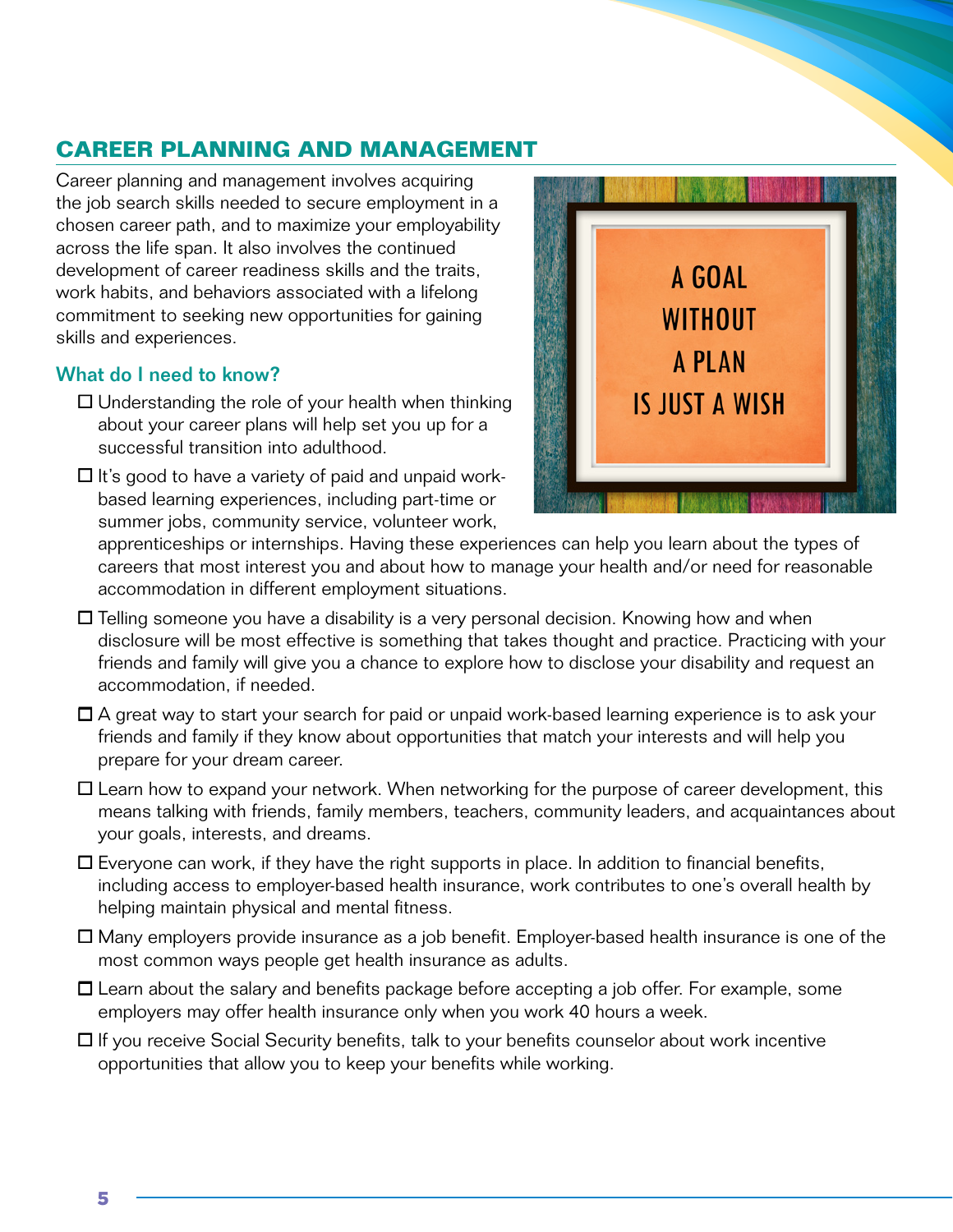# **CAREER PLANNING AND MANAGEMENT**

Career planning and management involves acquiring the job search skills needed to secure employment in a chosen career path, and to maximize your employability across the life span. It also involves the continued development of career readiness skills and the traits, work habits, and behaviors associated with a lifelong commitment to seeking new opportunities for gaining skills and experiences.

## What do I need to know?

- $\Box$  Understanding the role of your health when thinking about your career plans will help set you up for a successful transition into adulthood.
- $\Box$  It's good to have a variety of paid and unpaid workbased learning experiences, including part-time or summer jobs, community service, volunteer work,



apprenticeships or internships. Having these experiences can help you learn about the types of careers that most interest you and about how to manage your health and/or need for reasonable accommodation in different employment situations.

- $\Box$  Telling someone you have a disability is a very personal decision. Knowing how and when disclosure will be most effective is something that takes thought and practice. Practicing with your friends and family will give you a chance to explore how to disclose your disability and request an accommodation, if needed.
- $\Box$  A great way to start your search for paid or unpaid work-based learning experience is to ask your friends and family if they know about opportunities that match your interests and will help you prepare for your dream career.
- $\square$  Learn how to expand your network. When networking for the purpose of career development, this means talking with friends, family members, teachers, community leaders, and acquaintances about your goals, interests, and dreams.
- $\Box$  Everyone can work, if they have the right supports in place. In addition to financial benefits, including access to employer-based health insurance, work contributes to one's overall health by helping maintain physical and mental fitness.
- Many employers provide insurance as a job benefit. Employer-based health insurance is one of the most common ways people get health insurance as adults.
- $\Box$  Learn about the salary and benefits package before accepting a job offer. For example, some employers may offer health insurance only when you work 40 hours a week.
- $\Box$  If you receive Social Security benefits, talk to your benefits counselor about work incentive opportunities that allow you to keep your benefits while working.